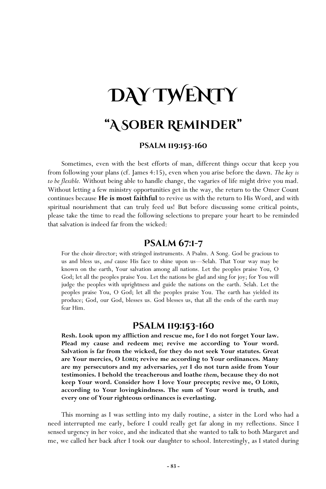# **DAY TWENTY "A Sober Reminder"**

#### **Psalm 119:153-160**

Sometimes, even with the best efforts of man, different things occur that keep you from following your plans (cf. James 4:15), even when you arise before the dawn. *The key is to be flexible.* Without being able to handle change, the vagaries of life might drive you mad. Without letting a few ministry opportunities get in the way, the return to the Omer Count continues because **He is most faithful** to revive us with the return to His Word, and with spiritual nourishment that can truly feed us! But before discussing some critical points, please take the time to read the following selections to prepare your heart to be reminded that salvation is indeed far from the wicked:

# **Psalm 67:1-7**

For the choir director; with stringed instruments. A Psalm. A Song. God be gracious to us and bless us, *and* cause His face to shine upon us—Selah. That Your way may be known on the earth, Your salvation among all nations. Let the peoples praise You, O God; let all the peoples praise You. Let the nations be glad and sing for joy; for You will judge the peoples with uprightness and guide the nations on the earth. Selah. Let the peoples praise You, O God; let all the peoples praise You. The earth has yielded its produce; God, our God, blesses us. God blesses us, that all the ends of the earth may fear Him.

## **Psalm 119:153-160**

**Resh. Look upon my affliction and rescue me, for I do not forget Your law. Plead my cause and redeem me; revive me according to Your word. Salvation is far from the wicked, for they do not seek Your statutes. Great are Your mercies, O LORD; revive me according to Your ordinances. Many are my persecutors and my adversaries,** *yet* **I do not turn aside from Your testimonies. I behold the treacherous and loathe** *them***, because they do not keep Your word. Consider how I love Your precepts; revive me, O LORD, according to Your lovingkindness. The sum of Your word is truth, and every one of Your righteous ordinances is everlasting.** 

This morning as I was settling into my daily routine, a sister in the Lord who had a need interrupted me early, before I could really get far along in my reflections. Since I sensed urgency in her voice, and she indicated that she wanted to talk to both Margaret and me, we called her back after I took our daughter to school. Interestingly, as I stated during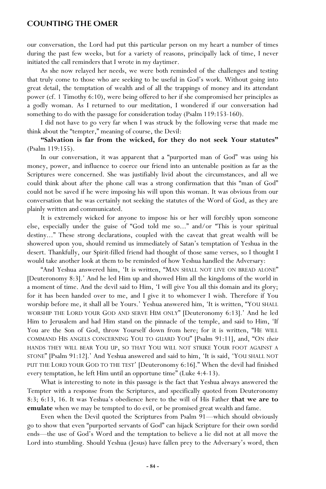## **Counting the Omer**

our conversation, the Lord had put this particular person on my heart a number of times during the past few weeks, but for a variety of reasons, principally lack of time, I never initiated the call reminders that I wrote in my daytimer.

As she now relayed her needs, we were both reminded of the challenges and testing that truly come to those who are seeking to be useful in God's work. Without going into great detail, the temptation of wealth and of all the trappings of money and its attendant power (cf. 1 Timothy 6:10), were being offered to her if she compromised her principles as a godly woman. As I returned to our meditation, I wondered if our conversation had something to do with the passage for consideration today (Psalm 119:153-160).

I did not have to go very far when I was struck by the following verse that made me think about the "tempter," meaning of course, the Devil:

**"Salvation is far from the wicked, for they do not seek Your statutes"** (Psalm 119:155).

In our conversation, it was apparent that a "purported man of God" was using his money, power, and influence to coerce our friend into an untenable position as far as the Scriptures were concerned. She was justifiably livid about the circumstances, and all we could think about after the phone call was a strong confirmation that this "man of God" could not be saved if he were imposing his will upon this woman. It was obvious from our conversation that he was certainly not seeking the statutes of the Word of God, as they are plainly written and communicated.

It is extremely wicked for anyone to impose his or her will forcibly upon someone else, especially under the guise of "God told me so..." and/or "This is your spiritual destiny..." These strong declarations, coupled with the caveat that great wealth will be showered upon you, should remind us immediately of Satan's temptation of Yeshua in the desert. Thankfully, our Spirit-filled friend had thought of those same verses, so I thought I would take another look at them to be reminded of how Yeshua handled the Adversary:

"And Yeshua answered him, 'It is written, "MAN SHALL NOT LIVE ON BREAD ALONE" [Deuteronomy 8:3].' And he led Him up and showed Him all the kingdoms of the world in a moment of time. And the devil said to Him, 'I will give You all this domain and its glory; for it has been handed over to me, and I give it to whomever I wish. Therefore if You worship before me, it shall all be Yours.' Yeshua answered him, 'It is written, "YOU SHALL WORSHIP THE LORD YOUR GOD AND SERVE HIM ONLY" [Deuteronomy 6:13].' And he led Him to Jerusalem and had Him stand on the pinnacle of the temple, and said to Him, 'If You are the Son of God, throw Yourself down from here; for it is written, "HE WILL COMMAND HIS ANGELS CONCERNING YOU TO GUARD YOU" [Psalm 91:11], and, "ON *their*  HANDS THEY WILL BEAR YOU UP, SO THAT YOU WILL NOT STRIKE YOUR FOOT AGAINST A STONE" [Psalm 91:12].' And Yeshua answered and said to him, 'It is said, 'YOU SHALL NOT PUT THE LORD YOUR GOD TO THE TEST' [Deuteronomy 6:16]." When the devil had finished every temptation, he left Him until an opportune time" (Luke 4:4-13).

What is interesting to note in this passage is the fact that Yeshua always answered the Tempter with a response from the Scriptures, and specifically quoted from Deuteronomy 8:3; 6:13, 16. It was Yeshua's obedience here to the will of His Father **that we are to emulate** when we may be tempted to do evil, or be promised great wealth and fame.

Even when the Devil quoted the Scriptures from Psalm 91—which should obviously go to show that even "purported servants of God" can hijack Scripture for their own sordid ends—the use of God's Word and the temptation to believe a lie did not at all move the Lord into stumbling. Should Yeshua (Jesus) have fallen prey to the Adversary's word, then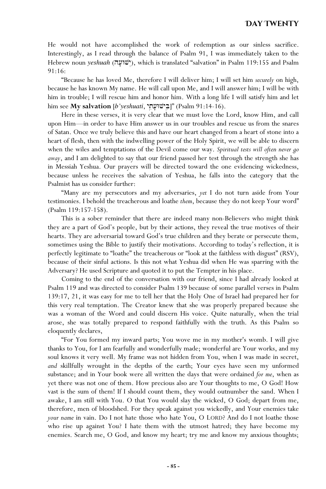# **Day Twenty**

He would not have accomplished the work of redemption as our sinless sacrifice. Interestingly, as I read through the balance of Psalm 91, I was immediately taken to the Hebrew noun *yeshuah* (שועה), which is translated "salvation" in Psalm 119:155 and Psalm 91:16:

"Because he has loved Me, therefore I will deliver him; I will set him *securely* on high, because he has known My name. He will call upon Me, and I will answer him; I will be with him in trouble; I will rescue him and honor him. With a long life I will satisfy him and let him see **My salvation** [*b'yeshuati*, "בישׁוּעת") (Psalm 91:14-16).

Here in these verses, it is very clear that we must love the Lord, know Him, and call upon Him—in order to have Him answer us in our troubles and rescue us from the snares of Satan. Once we truly believe this and have our heart changed from a heart of stone into a heart of flesh, then with the indwelling power of the Holy Spirit, we will be able to discern when the wiles and temptations of the Devil come our way. *Spiritual tests will often never go away*, and I am delighted to say that our friend passed her test through the strength she has in Messiah Yeshua. Our prayers will be directed toward the one evidencing wickedness, because unless he receives the salvation of Yeshua, he falls into the category that the Psalmist has us consider further:

"Many are my persecutors and my adversaries, *yet* I do not turn aside from Your testimonies. I behold the treacherous and loathe *them*, because they do not keep Your word" (Psalm 119:157-158).

This is a sober reminder that there are indeed many non-Believers who might think they are a part of God's people, but by their actions, they reveal the true motives of their hearts. They are adversarial toward God's true children and they berate or persecute them, sometimes using the Bible to justify their motivations. According to today's reflection, it is perfectly legitimate to "loathe" the treacherous or "look at the faithless with disgust" (RSV), because of their sinful actions. Is this not what Yeshua did when He was sparring with the Adversary? He used Scripture and quoted it to put the Tempter in his place.

Coming to the end of the conversation with our friend, since I had already looked at Psalm 119 and was directed to consider Psalm 139 because of some parallel verses in Psalm 139:17, 21, it was easy for me to tell her that the Holy One of Israel had prepared her for this very real temptation. The Creator knew that she was properly prepared because she was a woman of the Word and could discern His voice. Quite naturally, when the trial arose, she was totally prepared to respond faithfully with the truth. As this Psalm so eloquently declares,

"For You formed my inward parts; You wove me in my mother's womb. I will give thanks to You, for I am fearfully and wonderfully made; wonderful are Your works, and my soul knows it very well. My frame was not hidden from You, when I was made in secret, *and* skillfully wrought in the depths of the earth; Your eyes have seen my unformed substance; and in Your book were all written the days that were ordained *for me*, when as yet there was not one of them. How precious also are Your thoughts to me, O God! How vast is the sum of them! If I should count them, they would outnumber the sand. When I awake, I am still with You. O that You would slay the wicked, O God; depart from me, therefore, men of bloodshed. For they speak against you wickedly, and Your enemies take *your name* in vain. Do I not hate those who hate You, O LORD? And do I not loathe those who rise up against You? I hate them with the utmost hatred; they have become my enemies. Search me, O God, and know my heart; try me and know my anxious thoughts;